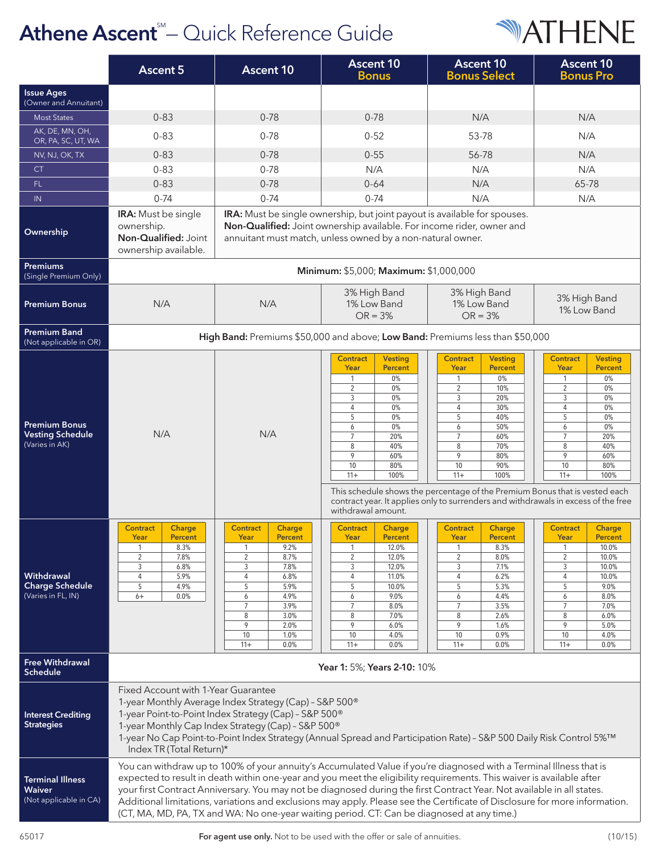## Athene Ascent<sup>®</sup>- Quick Reference Guide



|                                                                    | <b>Ascent 5</b>                                                                                                                                                                                                                                                                                                                                                                                                                                                                                                                                                                                     | <b>Ascent 10</b>                                                                                                                                                                                                                | <b>Ascent 10</b><br><b>Bonus</b>                                                                                                                                                                                                                             | <b>Ascent 10</b><br><b>Bonus Select</b>                                                                                                                                                                                                                                                                                                                                                                                         | <b>Ascent 10</b><br><b>Bonus Pro</b>                                                                                                                                                                                                |  |  |
|--------------------------------------------------------------------|-----------------------------------------------------------------------------------------------------------------------------------------------------------------------------------------------------------------------------------------------------------------------------------------------------------------------------------------------------------------------------------------------------------------------------------------------------------------------------------------------------------------------------------------------------------------------------------------------------|---------------------------------------------------------------------------------------------------------------------------------------------------------------------------------------------------------------------------------|--------------------------------------------------------------------------------------------------------------------------------------------------------------------------------------------------------------------------------------------------------------|---------------------------------------------------------------------------------------------------------------------------------------------------------------------------------------------------------------------------------------------------------------------------------------------------------------------------------------------------------------------------------------------------------------------------------|-------------------------------------------------------------------------------------------------------------------------------------------------------------------------------------------------------------------------------------|--|--|
| <b>Issue Ages</b><br>(Owner and Annuitant)                         |                                                                                                                                                                                                                                                                                                                                                                                                                                                                                                                                                                                                     |                                                                                                                                                                                                                                 |                                                                                                                                                                                                                                                              |                                                                                                                                                                                                                                                                                                                                                                                                                                 |                                                                                                                                                                                                                                     |  |  |
| <b>Most States</b>                                                 | $0 - 83$                                                                                                                                                                                                                                                                                                                                                                                                                                                                                                                                                                                            | $0 - 78$                                                                                                                                                                                                                        | $0 - 78$                                                                                                                                                                                                                                                     | N/A                                                                                                                                                                                                                                                                                                                                                                                                                             | N/A                                                                                                                                                                                                                                 |  |  |
| AK, DE, MN, OH,<br>OR, PA, SC, UT, WA                              | $0 - 83$                                                                                                                                                                                                                                                                                                                                                                                                                                                                                                                                                                                            | $0 - 78$                                                                                                                                                                                                                        | $0 - 52$                                                                                                                                                                                                                                                     | 53-78                                                                                                                                                                                                                                                                                                                                                                                                                           | N/A                                                                                                                                                                                                                                 |  |  |
| NV, NJ, OK, TX                                                     | $0 - 83$                                                                                                                                                                                                                                                                                                                                                                                                                                                                                                                                                                                            | $0 - 78$                                                                                                                                                                                                                        | $0 - 55$                                                                                                                                                                                                                                                     | 56-78                                                                                                                                                                                                                                                                                                                                                                                                                           | N/A                                                                                                                                                                                                                                 |  |  |
| <b>CT</b>                                                          | $0 - 83$                                                                                                                                                                                                                                                                                                                                                                                                                                                                                                                                                                                            | $0 - 78$                                                                                                                                                                                                                        | N/A                                                                                                                                                                                                                                                          | N/A                                                                                                                                                                                                                                                                                                                                                                                                                             | N/A                                                                                                                                                                                                                                 |  |  |
| FL.                                                                | $0 - 83$                                                                                                                                                                                                                                                                                                                                                                                                                                                                                                                                                                                            | $0 - 78$                                                                                                                                                                                                                        | $0 - 64$                                                                                                                                                                                                                                                     | N/A                                                                                                                                                                                                                                                                                                                                                                                                                             | 65-78                                                                                                                                                                                                                               |  |  |
| IN                                                                 | $0 - 74$                                                                                                                                                                                                                                                                                                                                                                                                                                                                                                                                                                                            | $0 - 74$                                                                                                                                                                                                                        | $0 - 74$                                                                                                                                                                                                                                                     | N/A                                                                                                                                                                                                                                                                                                                                                                                                                             | N/A                                                                                                                                                                                                                                 |  |  |
| Ownership                                                          | IRA: Must be single ownership, but joint payout is available for spouses.<br><b>IRA:</b> Must be single<br>Non-Qualified: Joint ownership available. For income rider, owner and<br>ownership.<br>Non-Qualified: Joint<br>annuitant must match, unless owned by a non-natural owner.<br>ownership available.                                                                                                                                                                                                                                                                                        |                                                                                                                                                                                                                                 |                                                                                                                                                                                                                                                              |                                                                                                                                                                                                                                                                                                                                                                                                                                 |                                                                                                                                                                                                                                     |  |  |
| <b>Premiums</b><br>(Single Premium Only)                           | Minimum: \$5,000; Maximum: \$1,000,000                                                                                                                                                                                                                                                                                                                                                                                                                                                                                                                                                              |                                                                                                                                                                                                                                 |                                                                                                                                                                                                                                                              |                                                                                                                                                                                                                                                                                                                                                                                                                                 |                                                                                                                                                                                                                                     |  |  |
| <b>Premium Bonus</b>                                               | N/A                                                                                                                                                                                                                                                                                                                                                                                                                                                                                                                                                                                                 | N/A                                                                                                                                                                                                                             | 3% High Band<br>1% Low Band<br>$OR = 3\%$                                                                                                                                                                                                                    | 3% High Band<br>1% Low Band<br>$OR = 3%$                                                                                                                                                                                                                                                                                                                                                                                        | 3% High Band<br>1% Low Band                                                                                                                                                                                                         |  |  |
| <b>Premium Band</b><br>(Not applicable in OR)                      | High Band: Premiums \$50,000 and above; Low Band: Premiums less than \$50,000                                                                                                                                                                                                                                                                                                                                                                                                                                                                                                                       |                                                                                                                                                                                                                                 |                                                                                                                                                                                                                                                              |                                                                                                                                                                                                                                                                                                                                                                                                                                 |                                                                                                                                                                                                                                     |  |  |
| <b>Premium Bonus</b><br><b>Vesting Schedule</b><br>(Varies in AK)  | N/A                                                                                                                                                                                                                                                                                                                                                                                                                                                                                                                                                                                                 | N/A                                                                                                                                                                                                                             | <b>Contract</b><br><b>Vesting</b><br>Year<br><b>Percent</b><br>0%<br>1<br>$\overline{2}$<br>0%<br>0%<br>3<br>$\overline{4}$<br>0%<br>5<br>0%<br>6<br>0%<br>$\overline{7}$<br>20%<br>40%<br>8<br>9<br>60%<br>80%<br>10<br>100%<br>$11+$<br>withdrawal amount. | <b>Contract</b><br><b>Vesting</b><br>Year<br><b>Percent</b><br>$\mathbf{1}$<br>$0\%$<br>$\overline{2}$<br>10%<br>3<br>20%<br>$\overline{4}$<br>30%<br>40%<br>5<br>50%<br>6<br>$\overline{7}$<br>60%<br>8<br>70%<br>9<br>80%<br>10<br>90%<br>$11 +$<br>100%<br>This schedule shows the percentage of the Premium Bonus that is vested each<br>contract year. It applies only to surrenders and withdrawals in excess of the free | <b>Contract</b><br><b>Vesting</b><br>Year<br><b>Percent</b><br>0%<br>1<br>$\overline{2}$<br>0%<br>3<br>0%<br>0%<br>4<br>0%<br>5<br>0%<br>6<br>$\overline{7}$<br>20%<br>8<br>40%<br>9<br>60%<br>10<br>80%<br>$11+$<br>100%           |  |  |
| Withdrawal<br><b>Charge Schedule</b><br>(Varies in FL, IN)         | <b>Contract</b><br>Charge<br>Year<br><b>Percent</b><br>8.3%<br>$\mathbf{1}$<br>$\overline{2}$<br>7.8%<br>6.8%<br>3<br>5.9%<br>4<br>5<br>4.9%<br>0.0%<br>$6+$                                                                                                                                                                                                                                                                                                                                                                                                                                        | <b>Contract</b><br>Charge<br>Year<br><b>Percent</b><br>9.2%<br>$\mathbf{1}$<br>2<br>8.7%<br>3<br>7.8%<br>4<br>6.8%<br>5<br>5.9%<br>4.9%<br>6<br>$\overline{7}$<br>3.9%<br>8<br>3.0%<br>9<br>2.0%<br>10<br>1.0%<br>$11+$<br>0.0% | <b>Contract</b><br>Charge<br>Year<br><b>Percent</b><br>12.0%<br>$\mathbf{1}$<br>12.0%<br>$\overline{2}$<br>3<br>12.0%<br>11.0%<br>4<br>5<br>10.0%<br>9.0%<br>6<br>$\overline{7}$<br>8.0%<br>8<br>7.0%<br>9<br>6.0%<br>4.0%<br>10<br>$11+$<br>0.0%            | <b>Contract</b><br>Charge<br>Year<br>Percent<br>8.3%<br>$\mathbf{1}$<br>$\overline{2}$<br>8.0%<br>7.1%<br>3<br>6.2%<br>4<br>5<br>5.3%<br>4.4%<br>6<br>$7\overline{ }$<br>3.5%<br>8<br>2.6%<br>9<br>1.6%<br>0.9%<br>10<br>0.0%<br>$11+$                                                                                                                                                                                          | <b>Contract</b><br>Charge<br>Year<br><b>Percent</b><br>$\mathbf{1}$<br>10.0%<br>$\overline{2}$<br>10.0%<br>3<br>10.0%<br>10.0%<br>4<br>5<br>9.0%<br>8.0%<br>6<br>7<br>7.0%<br>8<br>6.0%<br>9<br>5.0%<br>10<br>4.0%<br>$11+$<br>0.0% |  |  |
| <b>Free Withdrawal</b><br><b>Schedule</b>                          | Year 1: 5%; Years 2-10: 10%                                                                                                                                                                                                                                                                                                                                                                                                                                                                                                                                                                         |                                                                                                                                                                                                                                 |                                                                                                                                                                                                                                                              |                                                                                                                                                                                                                                                                                                                                                                                                                                 |                                                                                                                                                                                                                                     |  |  |
| <b>Interest Crediting</b><br><b>Strategies</b>                     | Fixed Account with 1-Year Guarantee<br>1-year Monthly Average Index Strategy (Cap) - S&P 500 <sup>®</sup><br>1-year Point-to-Point Index Strategy (Cap) - S&P 500 <sup>®</sup><br>1-year Monthly Cap Index Strategy (Cap) - S&P 500 <sup>®</sup><br>1-year No Cap Point-to-Point Index Strategy (Annual Spread and Participation Rate) - S&P 500 Daily Risk Control 5%™<br>Index TR (Total Return)*                                                                                                                                                                                                 |                                                                                                                                                                                                                                 |                                                                                                                                                                                                                                                              |                                                                                                                                                                                                                                                                                                                                                                                                                                 |                                                                                                                                                                                                                                     |  |  |
| <b>Terminal Illness</b><br><b>Waiver</b><br>(Not applicable in CA) | You can withdraw up to 100% of your annuity's Accumulated Value if you're diagnosed with a Terminal Illness that is<br>expected to result in death within one-year and you meet the eligibility requirements. This waiver is available after<br>your first Contract Anniversary. You may not be diagnosed during the first Contract Year. Not available in all states.<br>Additional limitations, variations and exclusions may apply. Please see the Certificate of Disclosure for more information.<br>(CT, MA, MD, PA, TX and WA: No one-year waiting period. CT: Can be diagnosed at any time.) |                                                                                                                                                                                                                                 |                                                                                                                                                                                                                                                              |                                                                                                                                                                                                                                                                                                                                                                                                                                 |                                                                                                                                                                                                                                     |  |  |